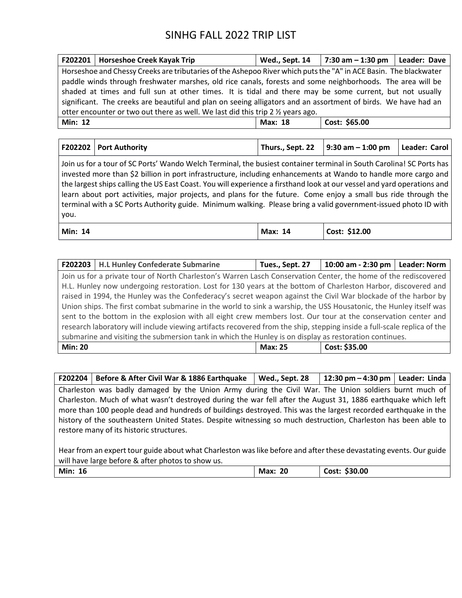|                                                                                                                  | F202201   Horseshoe Creek Kayak Trip                                                                           | Wed., Sept. 14 | 7:30 am $-$ 1:30 pm $\vert$ Leader: Dave |  |  |
|------------------------------------------------------------------------------------------------------------------|----------------------------------------------------------------------------------------------------------------|----------------|------------------------------------------|--|--|
| Horseshoe and Chessy Creeks are tributaries of the Ashepoo River which puts the "A" in ACE Basin. The blackwater |                                                                                                                |                |                                          |  |  |
|                                                                                                                  | paddle winds through freshwater marshes, old rice canals, forests and some neighborhoods. The area will be     |                |                                          |  |  |
|                                                                                                                  | shaded at times and full sun at other times. It is tidal and there may be some current, but not usually        |                |                                          |  |  |
|                                                                                                                  | significant. The creeks are beautiful and plan on seeing alligators and an assortment of birds. We have had an |                |                                          |  |  |
| otter encounter or two out there as well. We last did this trip 2 $\frac{1}{2}$ years ago.                       |                                                                                                                |                |                                          |  |  |
| Min: 12                                                                                                          |                                                                                                                | Max: 18        | Cost: \$65.00                            |  |  |

| F202202 Port Authority | Thurs., Sept. 22   9:30 am $-$ 1:00 pm   Leader: Carol |  |
|------------------------|--------------------------------------------------------|--|

Join us for a tour of SC Ports' Wando Welch Terminal, the busiest container terminal in South Carolina! SC Ports has invested more than \$2 billion in port infrastructure, including enhancements at Wando to handle more cargo and the largest ships calling the US East Coast. You will experience a firsthand look at our vessel and yard operations and learn about port activities, major projects, and plans for the future. Come enjoy a small bus ride through the terminal with a SC Ports Authority guide. Minimum walking. Please bring a valid government-issued photo ID with you.

| Min:<br>14 | Max:<br>14 | Cost: \$12.00<br>___ |
|------------|------------|----------------------|
|            |            |                      |

|                                                                                                                         | F202203   H.L Hunley Confederate Submarine                                                                        | Tues., Sept. 27 | 10:00 am - 2:30 pm   Leader: Norm |  |  |
|-------------------------------------------------------------------------------------------------------------------------|-------------------------------------------------------------------------------------------------------------------|-----------------|-----------------------------------|--|--|
|                                                                                                                         | Join us for a private tour of North Charleston's Warren Lasch Conservation Center, the home of the rediscovered   |                 |                                   |  |  |
|                                                                                                                         | H.L. Hunley now undergoing restoration. Lost for 130 years at the bottom of Charleston Harbor, discovered and     |                 |                                   |  |  |
|                                                                                                                         | raised in 1994, the Hunley was the Confederacy's secret weapon against the Civil War blockade of the harbor by    |                 |                                   |  |  |
|                                                                                                                         | Union ships. The first combat submarine in the world to sink a warship, the USS Housatonic, the Hunley itself was |                 |                                   |  |  |
|                                                                                                                         | sent to the bottom in the explosion with all eight crew members lost. Our tour at the conservation center and     |                 |                                   |  |  |
| research laboratory will include viewing artifacts recovered from the ship, stepping inside a full-scale replica of the |                                                                                                                   |                 |                                   |  |  |
| submarine and visiting the submersion tank in which the Hunley is on display as restoration continues.                  |                                                                                                                   |                 |                                   |  |  |
| <b>Min: 20</b>                                                                                                          |                                                                                                                   | <b>Max: 25</b>  | Cost: \$35.00                     |  |  |

| F202204   Before & After Civil War & 1886 Earthquake                                                           | Wed., Sept. 28 | 12:30 pm $-$ 4:30 pm $\vert$ Leader: Linda |  |  |
|----------------------------------------------------------------------------------------------------------------|----------------|--------------------------------------------|--|--|
| Charleston was badly damaged by the Union Army during the Civil War. The Union soldiers burnt much of          |                |                                            |  |  |
| Charleston. Much of what wasn't destroyed during the war fell after the August 31, 1886 earthquake which left  |                |                                            |  |  |
| more than 100 people dead and hundreds of buildings destroyed. This was the largest recorded earthquake in the |                |                                            |  |  |
| history of the southeastern United States. Despite witnessing so much destruction, Charleston has been able to |                |                                            |  |  |
| restore many of its historic structures.                                                                       |                |                                            |  |  |

Hear from an expert tour guide about what Charleston was like before and after these devastating events. Our guide will have large before & after photos to show us.

|  | Min.<br><b>16</b> | 20<br>Max:<br>__ | \$30.00<br>Cost:<br>- - - - |
|--|-------------------|------------------|-----------------------------|
|--|-------------------|------------------|-----------------------------|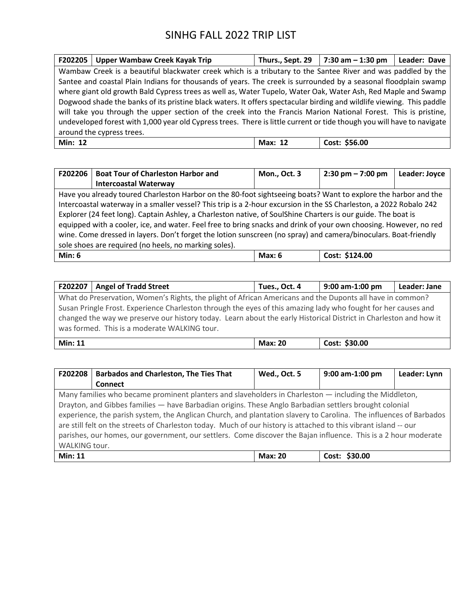|                           | F202205   Upper Wambaw Creek Kayak Trip                                                                                | Thurs., Sept. 29 | $7:30$ am $-1:30$ pm | Leader: Dave |  |
|---------------------------|------------------------------------------------------------------------------------------------------------------------|------------------|----------------------|--------------|--|
|                           | Wambaw Creek is a beautiful blackwater creek which is a tributary to the Santee River and was paddled by the           |                  |                      |              |  |
|                           | Santee and coastal Plain Indians for thousands of years. The creek is surrounded by a seasonal floodplain swamp        |                  |                      |              |  |
|                           | where giant old growth Bald Cypress trees as well as, Water Tupelo, Water Oak, Water Ash, Red Maple and Swamp          |                  |                      |              |  |
|                           | Dogwood shade the banks of its pristine black waters. It offers spectacular birding and wildlife viewing. This paddle  |                  |                      |              |  |
|                           | will take you through the upper section of the creek into the Francis Marion National Forest. This is pristine,        |                  |                      |              |  |
|                           | undeveloped forest with 1,000 year old Cypress trees. There is little current or tide though you will have to navigate |                  |                      |              |  |
| around the cypress trees. |                                                                                                                        |                  |                      |              |  |
| <b>Min: 12</b>            |                                                                                                                        | <b>Max: 12</b>   | Cost: \$56.00        |              |  |

| F202206                                                                                                         | <b>Boat Tour of Charleston Harbor and</b>                                                                          | Mon., Oct. 3 | $2:30 \text{ pm} - 7:00 \text{ pm}$ | Leader: Joyce |  |
|-----------------------------------------------------------------------------------------------------------------|--------------------------------------------------------------------------------------------------------------------|--------------|-------------------------------------|---------------|--|
|                                                                                                                 | <b>Intercoastal Waterway</b>                                                                                       |              |                                     |               |  |
|                                                                                                                 | Have you already toured Charleston Harbor on the 80-foot sightseeing boats? Want to explore the harbor and the     |              |                                     |               |  |
|                                                                                                                 | Intercoastal waterway in a smaller vessel? This trip is a 2-hour excursion in the SS Charleston, a 2022 Robalo 242 |              |                                     |               |  |
| Explorer (24 feet long). Captain Ashley, a Charleston native, of SoulShine Charters is our guide. The boat is   |                                                                                                                    |              |                                     |               |  |
|                                                                                                                 | equipped with a cooler, ice, and water. Feel free to bring snacks and drink of your own choosing. However, no red  |              |                                     |               |  |
| wine. Come dressed in layers. Don't forget the lotion sunscreen (no spray) and camera/binoculars. Boat-friendly |                                                                                                                    |              |                                     |               |  |
| sole shoes are required (no heels, no marking soles).                                                           |                                                                                                                    |              |                                     |               |  |
| Min: $6$                                                                                                        |                                                                                                                    | Max: $6$     | Cost: \$124.00                      |               |  |

| F202207                                                                                                           | <b>Angel of Tradd Street</b> | Tues., Oct. 4 | 9:00 am-1:00 pm | Leader: Jane |  |
|-------------------------------------------------------------------------------------------------------------------|------------------------------|---------------|-----------------|--------------|--|
| What do Preservation, Women's Rights, the plight of African Americans and the Duponts all have in common?         |                              |               |                 |              |  |
| Susan Pringle Frost. Experience Charleston through the eyes of this amazing lady who fought for her causes and    |                              |               |                 |              |  |
| changed the way we preserve our history today. Learn about the early Historical District in Charleston and how it |                              |               |                 |              |  |
| was formed. This is a moderate WALKING tour.                                                                      |                              |               |                 |              |  |
|                                                                                                                   |                              |               |                 |              |  |

| Min: | 20               | \$30.00 |
|------|------------------|---------|
|      | Max <sup>.</sup> | Cost    |
|      |                  |         |
|      |                  |         |

| F202208                                                                                                            | <b>Barbados and Charleston, The Ties That</b>                                                          | Wed., Oct. 5 | $9:00$ am-1:00 pm | Leader: Lynn |  |  |
|--------------------------------------------------------------------------------------------------------------------|--------------------------------------------------------------------------------------------------------|--------------|-------------------|--------------|--|--|
|                                                                                                                    | <b>Connect</b>                                                                                         |              |                   |              |  |  |
|                                                                                                                    | Many families who became prominent planters and slaveholders in Charleston — including the Middleton,  |              |                   |              |  |  |
|                                                                                                                    | Drayton, and Gibbes families - have Barbadian origins. These Anglo Barbadian settlers brought colonial |              |                   |              |  |  |
| experience, the parish system, the Anglican Church, and plantation slavery to Carolina. The influences of Barbados |                                                                                                        |              |                   |              |  |  |
| are still felt on the streets of Charleston today. Much of our history is attached to this vibrant island -- our   |                                                                                                        |              |                   |              |  |  |
| parishes, our homes, our government, our settlers. Come discover the Bajan influence. This is a 2 hour moderate    |                                                                                                        |              |                   |              |  |  |
| WALKING tour.                                                                                                      |                                                                                                        |              |                   |              |  |  |
| <b>Min: 11</b>                                                                                                     | Cost: \$30.00<br><b>Max: 20</b>                                                                        |              |                   |              |  |  |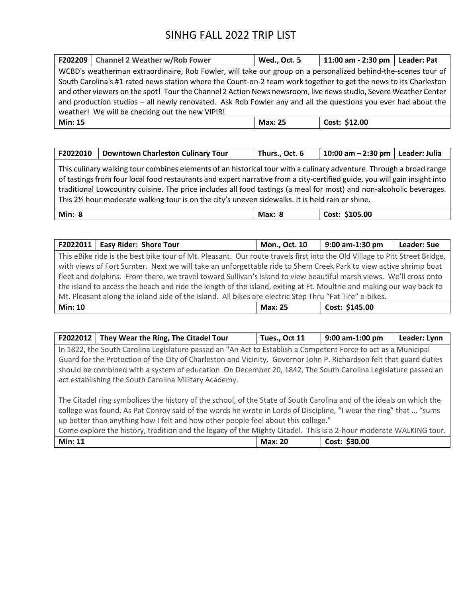|                                                                                                               | F202209   Channel 2 Weather w/Rob Fower                                                                          | Wed., Oct. 5   | 11:00 am - 2:30 pm   Leader: Pat |  |  |
|---------------------------------------------------------------------------------------------------------------|------------------------------------------------------------------------------------------------------------------|----------------|----------------------------------|--|--|
| WCBD's weatherman extraordinaire, Rob Fowler, will take our group on a personalized behind-the-scenes tour of |                                                                                                                  |                |                                  |  |  |
|                                                                                                               | South Carolina's #1 rated news station where the Count-on-2 team work together to get the news to its Charleston |                |                                  |  |  |
|                                                                                                               | and other viewers on the spot! Tour the Channel 2 Action News newsroom, live news studio, Severe Weather Center  |                |                                  |  |  |
| and production studios – all newly renovated. Ask Rob Fowler any and all the questions you ever had about the |                                                                                                                  |                |                                  |  |  |
| weather! We will be checking out the new VIPIR!                                                               |                                                                                                                  |                |                                  |  |  |
| <b>Min: 15</b>                                                                                                |                                                                                                                  | <b>Max: 25</b> | Cost: \$12.00                    |  |  |

| F2022010                                                                                                                                                                                                                                                                                                                                                                                                                                                                       | <b>Downtown Charleston Culinary Tour</b> | Thurs., Oct. 6 | $10:00$ am $- 2:30$ pm | Leader: Julia |  |
|--------------------------------------------------------------------------------------------------------------------------------------------------------------------------------------------------------------------------------------------------------------------------------------------------------------------------------------------------------------------------------------------------------------------------------------------------------------------------------|------------------------------------------|----------------|------------------------|---------------|--|
| This culinary walking tour combines elements of an historical tour with a culinary adventure. Through a broad range<br>of tastings from four local food restaurants and expert narrative from a city-certified guide, you will gain insight into  <br>traditional Lowcountry cuisine. The price includes all food tastings (a meal for most) and non-alcoholic beverages.<br>This 21/2 hour moderate walking tour is on the city's uneven sidewalks. It is held rain or shine. |                                          |                |                        |               |  |
| <b>Min: 8</b>                                                                                                                                                                                                                                                                                                                                                                                                                                                                  |                                          | Max: 8         | Cost: \$105.00         |               |  |

|                                                                                                        | F2022011   Easy Rider: Shore Tour                                                                                          | Mon., Oct. 10  | 9:00 am-1:30 pm | Leader: Sue |
|--------------------------------------------------------------------------------------------------------|----------------------------------------------------------------------------------------------------------------------------|----------------|-----------------|-------------|
|                                                                                                        | This eBike ride is the best bike tour of Mt. Pleasant. Our route travels first into the Old Village to Pitt Street Bridge, |                |                 |             |
|                                                                                                        | with views of Fort Sumter. Next we will take an unforgettable ride to Shem Creek Park to view active shrimp boat           |                |                 |             |
|                                                                                                        | fleet and dolphins. From there, we travel toward Sullivan's Island to view beautiful marsh views. We'll cross onto         |                |                 |             |
|                                                                                                        | the island to access the beach and ride the length of the island, exiting at Ft. Moultrie and making our way back to       |                |                 |             |
| Mt. Pleasant along the inland side of the island. All bikes are electric Step Thru "Fat Tire" e-bikes. |                                                                                                                            |                |                 |             |
| <b>Min: 10</b>                                                                                         |                                                                                                                            | <b>Max: 25</b> | Cost: \$145.00  |             |

| F2022012                                                                                                          | They Wear the Ring, The Citadel Tour                                                                                 | Tues., Oct 11  | 9:00 am-1:00 pm | Leader: Lynn |
|-------------------------------------------------------------------------------------------------------------------|----------------------------------------------------------------------------------------------------------------------|----------------|-----------------|--------------|
|                                                                                                                   | In 1822, the South Carolina Legislature passed an "An Act to Establish a Competent Force to act as a Municipal       |                |                 |              |
|                                                                                                                   | Guard for the Protection of the City of Charleston and Vicinity. Governor John P. Richardson felt that guard duties  |                |                 |              |
|                                                                                                                   | should be combined with a system of education. On December 20, 1842, The South Carolina Legislature passed an        |                |                 |              |
|                                                                                                                   | act establishing the South Carolina Military Academy.                                                                |                |                 |              |
|                                                                                                                   |                                                                                                                      |                |                 |              |
|                                                                                                                   | The Citadel ring symbolizes the history of the school, of the State of South Carolina and of the ideals on which the |                |                 |              |
|                                                                                                                   | college was found. As Pat Conroy said of the words he wrote in Lords of Discipline, "I wear the ring" that  "sums    |                |                 |              |
| up better than anything how I felt and how other people feel about this college."                                 |                                                                                                                      |                |                 |              |
| Come explore the history, tradition and the legacy of the Mighty Citadel. This is a 2-hour moderate WALKING tour. |                                                                                                                      |                |                 |              |
| <b>Min: 11</b>                                                                                                    |                                                                                                                      | <b>Max: 20</b> | Cost: \$30.00   |              |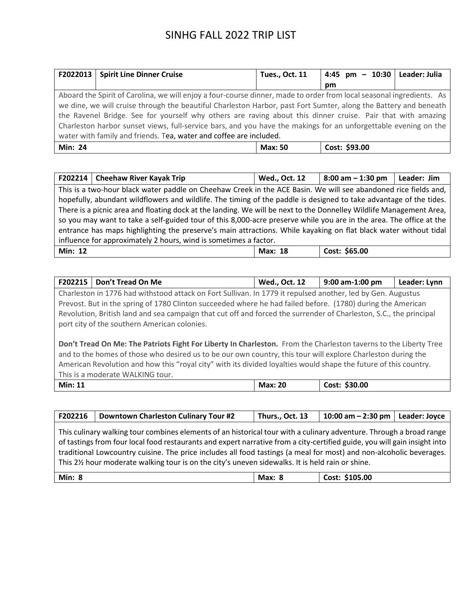| F2022013                                                           | <b>Spirit Line Dinner Cruise</b>                                                                                     | <b>Tues., Oct. 11</b> | 4:45 pm $- 10:30$ Leader: Julia |  |
|--------------------------------------------------------------------|----------------------------------------------------------------------------------------------------------------------|-----------------------|---------------------------------|--|
|                                                                    |                                                                                                                      |                       | pm                              |  |
|                                                                    | Aboard the Spirit of Carolina, we will enjoy a four-course dinner, made to order from local seasonal ingredients. As |                       |                                 |  |
|                                                                    | we dine, we will cruise through the beautiful Charleston Harbor, past Fort Sumter, along the Battery and beneath     |                       |                                 |  |
|                                                                    | the Ravenel Bridge. See for yourself why others are raving about this dinner cruise. Pair that with amazing          |                       |                                 |  |
|                                                                    | Charleston harbor sunset views, full-service bars, and you have the makings for an unforgettable evening on the      |                       |                                 |  |
| water with family and friends. Tea, water and coffee are included. |                                                                                                                      |                       |                                 |  |
| <b>Min: 24</b>                                                     |                                                                                                                      | <b>Max: 50</b>        | Cost: \$93.00                   |  |

|                                                                  | F202214   Cheehaw River Kayak Trip                                                                                  | <b>Wed., Oct. 12</b> | $8:00$ am $-1:30$ pm | Leader: Jim |
|------------------------------------------------------------------|---------------------------------------------------------------------------------------------------------------------|----------------------|----------------------|-------------|
|                                                                  | This is a two-hour black water paddle on Cheehaw Creek in the ACE Basin. We will see abandoned rice fields and,     |                      |                      |             |
|                                                                  | hopefully, abundant wildflowers and wildlife. The timing of the paddle is designed to take advantage of the tides.  |                      |                      |             |
|                                                                  | There is a picnic area and floating dock at the landing. We will be next to the Donnelley Wildlife Management Area, |                      |                      |             |
|                                                                  | so you may want to take a self-guided tour of this 8,000-acre preserve while you are in the area. The office at the |                      |                      |             |
|                                                                  | entrance has maps highlighting the preserve's main attractions. While kayaking on flat black water without tidal    |                      |                      |             |
| influence for approximately 2 hours, wind is sometimes a factor. |                                                                                                                     |                      |                      |             |
| <b>Min: 12</b>                                                   |                                                                                                                     | Max: 18              | Cost: \$65.00        |             |

| F202215 | Don't Tread On Me                                                                                                  | <b>Wed., Oct. 12</b> | $9:00$ am-1:00 pm | Leader: Lynn |  |  |
|---------|--------------------------------------------------------------------------------------------------------------------|----------------------|-------------------|--------------|--|--|
|         | Charleston in 1776 had withstood attack on Fort Sullivan. In 1779 it repulsed another, led by Gen. Augustus        |                      |                   |              |  |  |
|         | Prevost. But in the spring of 1780 Clinton succeeded where he had failed before. (1780) during the American        |                      |                   |              |  |  |
|         | Revolution, British land and sea campaign that cut off and forced the surrender of Charleston, S.C., the principal |                      |                   |              |  |  |
|         | port city of the southern American colonies.                                                                       |                      |                   |              |  |  |
|         |                                                                                                                    |                      |                   |              |  |  |
|         | Don't Tread On Me: The Patriots Fight For Liberty In Charleston. From the Charleston taverns to the Liberty Tree   |                      |                   |              |  |  |
|         | and to the homes of those who desired us to be our own country, this tour will explore Charleston during the       |                      |                   |              |  |  |
|         | American Revolution and how this "royal city" with its divided loyalties would shape the future of this country.   |                      |                   |              |  |  |
|         | This is a moderate WALKING tour.                                                                                   |                      |                   |              |  |  |

| Min:<br>-11 | 20<br>Max | \$30.00<br>∴ost |
|-------------|-----------|-----------------|

| F202216                                                                                                                                                                                                                                                                                                                                                                                                                                                                    | <b>Downtown Charleston Culinary Tour #2</b> | Thurs., Oct. 13 | 10:00 am $-$ 2:30 pm | Leader: Joyce |  |
|----------------------------------------------------------------------------------------------------------------------------------------------------------------------------------------------------------------------------------------------------------------------------------------------------------------------------------------------------------------------------------------------------------------------------------------------------------------------------|---------------------------------------------|-----------------|----------------------|---------------|--|
| This culinary walking tour combines elements of an historical tour with a culinary adventure. Through a broad range<br>of tastings from four local food restaurants and expert narrative from a city-certified guide, you will gain insight into<br>traditional Lowcountry cuisine. The price includes all food tastings (a meal for most) and non-alcoholic beverages.<br>This 2% hour moderate walking tour is on the city's uneven sidewalks. It is held rain or shine. |                                             |                 |                      |               |  |
| <b>Min: 8</b>                                                                                                                                                                                                                                                                                                                                                                                                                                                              |                                             | Max: 8          | Cost: \$105.00       |               |  |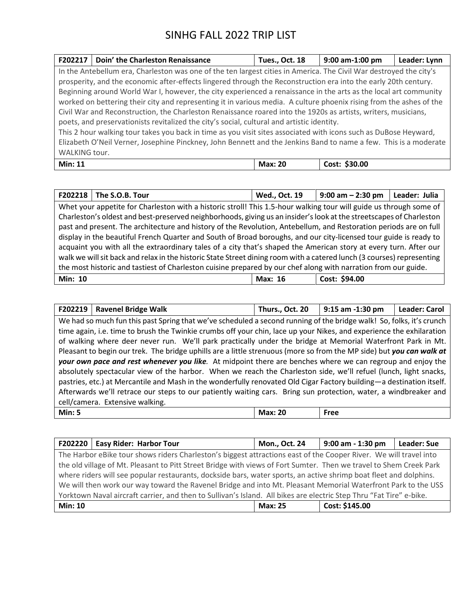| F202217                                                                                                          | Doin' the Charleston Renaissance                                                                                    | <b>Tues., Oct. 18</b> | 9:00 am-1:00 pm | Leader: Lynn |
|------------------------------------------------------------------------------------------------------------------|---------------------------------------------------------------------------------------------------------------------|-----------------------|-----------------|--------------|
|                                                                                                                  | In the Antebellum era, Charleston was one of the ten largest cities in America. The Civil War destroyed the city's  |                       |                 |              |
|                                                                                                                  | prosperity, and the economic after-effects lingered through the Reconstruction era into the early 20th century.     |                       |                 |              |
|                                                                                                                  | Beginning around World War I, however, the city experienced a renaissance in the arts as the local art community    |                       |                 |              |
|                                                                                                                  | worked on bettering their city and representing it in various media. A culture phoenix rising from the ashes of the |                       |                 |              |
|                                                                                                                  | Civil War and Reconstruction, the Charleston Renaissance roared into the 1920s as artists, writers, musicians,      |                       |                 |              |
|                                                                                                                  | poets, and preservationists revitalized the city's social, cultural and artistic identity.                          |                       |                 |              |
|                                                                                                                  | This 2 hour walking tour takes you back in time as you visit sites associated with icons such as DuBose Heyward,    |                       |                 |              |
| Elizabeth O'Neil Verner, Josephine Pinckney, John Bennett and the Jenkins Band to name a few. This is a moderate |                                                                                                                     |                       |                 |              |
| WALKING tour.                                                                                                    |                                                                                                                     |                       |                 |              |
| <b>Min: 11</b>                                                                                                   |                                                                                                                     | <b>Max: 20</b>        | Cost: \$30.00   |              |

| F202218                                                                                                        | The S.O.B. Tour                                                                                                        | Wed., Oct. 19 | $9:00$ am $- 2:30$ pm | Leader: Julia |
|----------------------------------------------------------------------------------------------------------------|------------------------------------------------------------------------------------------------------------------------|---------------|-----------------------|---------------|
|                                                                                                                | Whet your appetite for Charleston with a historic stroll! This 1.5-hour walking tour will guide us through some of     |               |                       |               |
|                                                                                                                | Charleston's oldest and best-preserved neighborhoods, giving us an insider's look at the streetscapes of Charleston    |               |                       |               |
|                                                                                                                | past and present. The architecture and history of the Revolution, Antebellum, and Restoration periods are on full      |               |                       |               |
|                                                                                                                | display in the beautiful French Quarter and South of Broad boroughs, and our city-licensed tour guide is ready to      |               |                       |               |
|                                                                                                                | acquaint you with all the extraordinary tales of a city that's shaped the American story at every turn. After our      |               |                       |               |
|                                                                                                                | walk we will sit back and relax in the historic State Street dining room with a catered lunch (3 courses) representing |               |                       |               |
| the most historic and tastiest of Charleston cuisine prepared by our chef along with narration from our guide. |                                                                                                                        |               |                       |               |
| <b>Min: 10</b>                                                                                                 |                                                                                                                        | Max: 16       | Cost: \$94.00         |               |

| F202219                                                                                                          | <b>Ravenel Bridge Walk</b>                                                                                           | Thurs., Oct. 20 | 9:15 am -1:30 pm | <b>Leader: Carol</b> |  |
|------------------------------------------------------------------------------------------------------------------|----------------------------------------------------------------------------------------------------------------------|-----------------|------------------|----------------------|--|
|                                                                                                                  | We had so much fun this past Spring that we've scheduled a second running of the bridge walk! So, folks, it's crunch |                 |                  |                      |  |
|                                                                                                                  | time again, i.e. time to brush the Twinkie crumbs off your chin, lace up your Nikes, and experience the exhilaration |                 |                  |                      |  |
|                                                                                                                  | of walking where deer never run. We'll park practically under the bridge at Memorial Waterfront Park in Mt.          |                 |                  |                      |  |
|                                                                                                                  | Pleasant to begin our trek. The bridge uphills are a little strenuous (more so from the MP side) but you can walk at |                 |                  |                      |  |
|                                                                                                                  | your own pace and rest whenever you like. At midpoint there are benches where we can regroup and enjoy the           |                 |                  |                      |  |
|                                                                                                                  | absolutely spectacular view of the harbor. When we reach the Charleston side, we'll refuel (lunch, light snacks,     |                 |                  |                      |  |
|                                                                                                                  | pastries, etc.) at Mercantile and Mash in the wonderfully renovated Old Cigar Factory building—a destination itself. |                 |                  |                      |  |
| Afterwards we'll retrace our steps to our patiently waiting cars. Bring sun protection, water, a windbreaker and |                                                                                                                      |                 |                  |                      |  |
| cell/camera. Extensive walking.                                                                                  |                                                                                                                      |                 |                  |                      |  |
| <b>Min: 5</b>                                                                                                    |                                                                                                                      | <b>Max: 20</b>  | Free             |                      |  |

|                                                                                                                     | F202220   Easy Rider: Harbor Tour                                                                                  | <b>Mon., Oct. 24</b> | $9:00$ am - 1:30 pm | <b>Leader: Sue</b> |
|---------------------------------------------------------------------------------------------------------------------|--------------------------------------------------------------------------------------------------------------------|----------------------|---------------------|--------------------|
| The Harbor eBike tour shows riders Charleston's biggest attractions east of the Cooper River. We will travel into   |                                                                                                                    |                      |                     |                    |
|                                                                                                                     | the old village of Mt. Pleasant to Pitt Street Bridge with views of Fort Sumter. Then we travel to Shem Creek Park |                      |                     |                    |
|                                                                                                                     | where riders will see popular restaurants, dockside bars, water sports, an active shrimp boat fleet and dolphins.  |                      |                     |                    |
|                                                                                                                     | We will then work our way toward the Ravenel Bridge and into Mt. Pleasant Memorial Waterfront Park to the USS      |                      |                     |                    |
| Yorktown Naval aircraft carrier, and then to Sullivan's Island. All bikes are electric Step Thru "Fat Tire" e-bike. |                                                                                                                    |                      |                     |                    |
| <b>Min: 10</b>                                                                                                      |                                                                                                                    | <b>Max: 25</b>       | Cost: \$145.00      |                    |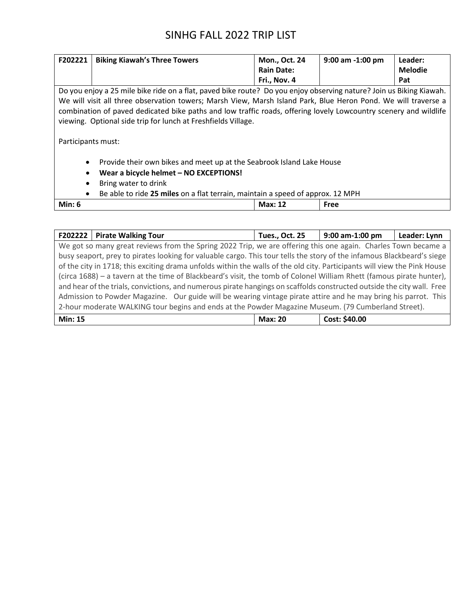| F202221                                                                                     | <b>Biking Kiawah's Three Towers</b>                                                                                 | Mon., Oct. 24     | $9:00$ am $-1:00$ pm | Leader:        |  |  |  |
|---------------------------------------------------------------------------------------------|---------------------------------------------------------------------------------------------------------------------|-------------------|----------------------|----------------|--|--|--|
|                                                                                             |                                                                                                                     | <b>Rain Date:</b> |                      | <b>Melodie</b> |  |  |  |
|                                                                                             |                                                                                                                     | Fri., Nov. 4      |                      | Pat            |  |  |  |
|                                                                                             | Do you enjoy a 25 mile bike ride on a flat, paved bike route? Do you enjoy observing nature? Join us Biking Kiawah. |                   |                      |                |  |  |  |
|                                                                                             | We will visit all three observation towers; Marsh View, Marsh Island Park, Blue Heron Pond. We will traverse a      |                   |                      |                |  |  |  |
|                                                                                             | combination of paved dedicated bike paths and low traffic roads, offering lovely Lowcountry scenery and wildlife    |                   |                      |                |  |  |  |
|                                                                                             | viewing. Optional side trip for lunch at Freshfields Village.                                                       |                   |                      |                |  |  |  |
|                                                                                             |                                                                                                                     |                   |                      |                |  |  |  |
| Participants must:                                                                          |                                                                                                                     |                   |                      |                |  |  |  |
|                                                                                             |                                                                                                                     |                   |                      |                |  |  |  |
| $\bullet$                                                                                   | Provide their own bikes and meet up at the Seabrook Island Lake House                                               |                   |                      |                |  |  |  |
| Wear a bicycle helmet - NO EXCEPTIONS!<br>$\bullet$                                         |                                                                                                                     |                   |                      |                |  |  |  |
| Bring water to drink<br>$\bullet$                                                           |                                                                                                                     |                   |                      |                |  |  |  |
| Be able to ride 25 miles on a flat terrain, maintain a speed of approx. 12 MPH<br>$\bullet$ |                                                                                                                     |                   |                      |                |  |  |  |
| Min: $6$                                                                                    |                                                                                                                     | <b>Max: 12</b>    | Free                 |                |  |  |  |

| F202222   Pirate Walking Tour                                                                                            | <b>Tues., Oct. 25</b> | 9:00 am-1:00 pm | Leader: Lynn |
|--------------------------------------------------------------------------------------------------------------------------|-----------------------|-----------------|--------------|
| We got so many great reviews from the Spring 2022 Trip, we are offering this one again. Charles Town became a            |                       |                 |              |
| busy seaport, prey to pirates looking for valuable cargo. This tour tells the story of the infamous Blackbeard's siege   |                       |                 |              |
| of the city in 1718; this exciting drama unfolds within the walls of the old city. Participants will view the Pink House |                       |                 |              |
| (circa 1688) - a tavern at the time of Blackbeard's visit, the tomb of Colonel William Rhett (famous pirate hunter),     |                       |                 |              |
| and hear of the trials, convictions, and numerous pirate hangings on scaffolds constructed outside the city wall. Free   |                       |                 |              |
| Admission to Powder Magazine. Our guide will be wearing vintage pirate attire and he may bring his parrot. This          |                       |                 |              |
| 2-hour moderate WALKING tour begins and ends at the Powder Magazine Museum. (79 Cumberland Street).                      |                       |                 |              |
|                                                                                                                          |                       |                 |              |

| <b>Min: 15</b> | <b>Max: 20</b> | Cost: \$40.00 |
|----------------|----------------|---------------|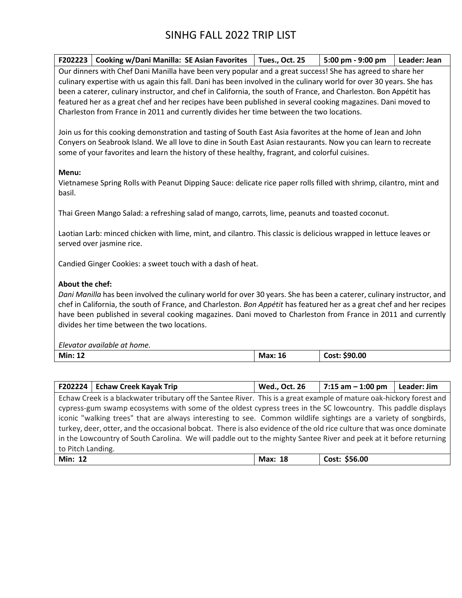|                                                                                                                     | F202223   Cooking w/Dani Manilla: SE Asian Favorites | <b>Tues., Oct. 25</b> | 5:00 pm - 9:00 pm | Leader: Jean |  |  |
|---------------------------------------------------------------------------------------------------------------------|------------------------------------------------------|-----------------------|-------------------|--------------|--|--|
| Our dinners with Chef Dani Manilla have been very popular and a great success! She has agreed to share her          |                                                      |                       |                   |              |  |  |
| culinary expertise with us again this fall. Dani has been involved in the culinary world for over 30 years. She has |                                                      |                       |                   |              |  |  |
| been a caterer, culinary instructor, and chef in California, the south of France, and Charleston. Bon Appétit has   |                                                      |                       |                   |              |  |  |
| featured her as a great chef and her recipes have been published in several cooking magazines. Dani moved to        |                                                      |                       |                   |              |  |  |
| Charleston from France in 2011 and currently divides her time between the two locations.                            |                                                      |                       |                   |              |  |  |

Join us for this cooking demonstration and tasting of South East Asia favorites at the home of Jean and John Conyers on Seabrook Island. We all love to dine in South East Asian restaurants. Now you can learn to recreate some of your favorites and learn the history of these healthy, fragrant, and colorful cuisines.

#### **Menu:**

Vietnamese Spring Rolls with Peanut Dipping Sauce: delicate rice paper rolls filled with shrimp, cilantro, mint and basil.

Thai Green Mango Salad: a refreshing salad of mango, carrots, lime, peanuts and toasted coconut.

Laotian Larb: minced chicken with lime, mint, and cilantro. This classic is delicious wrapped in lettuce leaves or served over jasmine rice.

Candied Ginger Cookies: a sweet touch with a dash of heat.

### **About the chef:**

*Dani Manilla* has been involved the culinary world for over 30 years. She has been a caterer, culinary instructor, and chef in California, the south of France, and Charleston. *Bon Appétit* has featured her as a great chef and her recipes have been published in several cooking magazines. Dani moved to Charleston from France in 2011 and currently divides her time between the two locations.

*Elevator available at home.*

|                                                                                                                    | F202224   Echaw Creek Kayak Trip                                                                                      | <b>Wed., Oct. 26</b> | $7:15$ am $-1:00$ pm | Leader: Jim |  |  |
|--------------------------------------------------------------------------------------------------------------------|-----------------------------------------------------------------------------------------------------------------------|----------------------|----------------------|-------------|--|--|
|                                                                                                                    | Echaw Creek is a blackwater tributary off the Santee River. This is a great example of mature oak-hickory forest and  |                      |                      |             |  |  |
|                                                                                                                    | cypress-gum swamp ecosystems with some of the oldest cypress trees in the SC lowcountry. This paddle displays         |                      |                      |             |  |  |
|                                                                                                                    | iconic "walking trees" that are always interesting to see. Common wildlife sightings are a variety of songbirds,      |                      |                      |             |  |  |
|                                                                                                                    | turkey, deer, otter, and the occasional bobcat. There is also evidence of the old rice culture that was once dominate |                      |                      |             |  |  |
| in the Lowcountry of South Carolina. We will paddle out to the mighty Santee River and peek at it before returning |                                                                                                                       |                      |                      |             |  |  |
| to Pitch Landing.                                                                                                  |                                                                                                                       |                      |                      |             |  |  |
| <b>Min: 12</b>                                                                                                     |                                                                                                                       | Max: 18              | Cost: \$56.00        |             |  |  |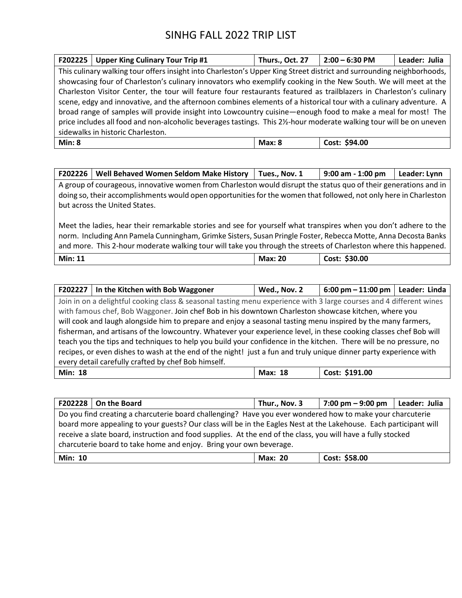| F202225                                                                                                            | <b>Upper King Culinary Tour Trip #1</b>                                                                               | Thurs., Oct. 27 | $2:00 - 6:30$ PM | Leader: Julia |  |
|--------------------------------------------------------------------------------------------------------------------|-----------------------------------------------------------------------------------------------------------------------|-----------------|------------------|---------------|--|
|                                                                                                                    | This culinary walking tour offers insight into Charleston's Upper King Street district and surrounding neighborhoods, |                 |                  |               |  |
|                                                                                                                    | showcasing four of Charleston's culinary innovators who exemplify cooking in the New South. We will meet at the       |                 |                  |               |  |
|                                                                                                                    | Charleston Visitor Center, the tour will feature four restaurants featured as trailblazers in Charleston's culinary   |                 |                  |               |  |
| scene, edgy and innovative, and the afternoon combines elements of a historical tour with a culinary adventure. A  |                                                                                                                       |                 |                  |               |  |
|                                                                                                                    | broad range of samples will provide insight into Lowcountry cuisine—enough food to make a meal for most! The          |                 |                  |               |  |
| price includes all food and non-alcoholic beverages tastings. This 2½-hour moderate walking tour will be on uneven |                                                                                                                       |                 |                  |               |  |
| sidewalks in historic Charleston.                                                                                  |                                                                                                                       |                 |                  |               |  |
| Min: 8                                                                                                             |                                                                                                                       | Max: 8          | Cost: \$94.00    |               |  |

| F202226 | <b>Well Behaved Women Seldom Make History</b>                                                                     | Tues Nov. 1 | $9:00$ am - 1:00 pm | Leader: Lynn |
|---------|-------------------------------------------------------------------------------------------------------------------|-------------|---------------------|--------------|
|         | A group of courageous, innovative women from Charleston would disrupt the status quo of their generations and in  |             |                     |              |
|         | doing so, their accomplishments would open opportunities for the women that followed, not only here in Charleston |             |                     |              |
|         | but across the United States.                                                                                     |             |                     |              |
|         |                                                                                                                   |             |                     |              |

Meet the ladies, hear their remarkable stories and see for yourself what transpires when you don't adhere to the norm. Including Ann Pamela Cunningham, Grimke Sisters, Susan Pringle Foster, Rebecca Motte, Anna Decosta Banks and more. This 2-hour moderate walking tour will take you through the streets of Charleston where this happened.

|  | <b>Min: 11</b> | <b>Max: 20</b> | \$30.00<br>Cost: |
|--|----------------|----------------|------------------|
|--|----------------|----------------|------------------|

|                                                                                                                   | F202227   In the Kitchen with Bob Waggoner                                                                          | Wed., Nov. 2   | $6:00$ pm $-11:00$ pm   Leader: Linda |  |  |
|-------------------------------------------------------------------------------------------------------------------|---------------------------------------------------------------------------------------------------------------------|----------------|---------------------------------------|--|--|
|                                                                                                                   | Join in on a delightful cooking class & seasonal tasting menu experience with 3 large courses and 4 different wines |                |                                       |  |  |
|                                                                                                                   | with famous chef, Bob Waggoner. Join chef Bob in his downtown Charleston showcase kitchen, where you                |                |                                       |  |  |
|                                                                                                                   | will cook and laugh alongside him to prepare and enjoy a seasonal tasting menu inspired by the many farmers,        |                |                                       |  |  |
| fisherman, and artisans of the lowcountry. Whatever your experience level, in these cooking classes chef Bob will |                                                                                                                     |                |                                       |  |  |
| teach you the tips and techniques to help you build your confidence in the kitchen. There will be no pressure, no |                                                                                                                     |                |                                       |  |  |
| recipes, or even dishes to wash at the end of the night! just a fun and truly unique dinner party experience with |                                                                                                                     |                |                                       |  |  |
| every detail carefully crafted by chef Bob himself.                                                               |                                                                                                                     |                |                                       |  |  |
| <b>Min: 18</b>                                                                                                    |                                                                                                                     | <b>Max: 18</b> | Cost: \$191.00                        |  |  |

| F202228 $\vert$ On the Board<br>Leader: Julia<br>  7:00 pm $-9:00$ pm<br>Thur., Nov. 3                                                                                                                                                                                                                                                         |  |  |  |  |  |  |
|------------------------------------------------------------------------------------------------------------------------------------------------------------------------------------------------------------------------------------------------------------------------------------------------------------------------------------------------|--|--|--|--|--|--|
| Do you find creating a charcuterie board challenging? Have you ever wondered how to make your charcuterie<br>board more appealing to your guests? Our class will be in the Eagles Nest at the Lakehouse. Each participant will<br>receive a slate board, instruction and food supplies. At the end of the class, you will have a fully stocked |  |  |  |  |  |  |
| charcuterie board to take home and enjoy. Bring your own beverage.                                                                                                                                                                                                                                                                             |  |  |  |  |  |  |
| Cost: \$58.00<br><b>Min: 10</b><br><b>Max: 20</b>                                                                                                                                                                                                                                                                                              |  |  |  |  |  |  |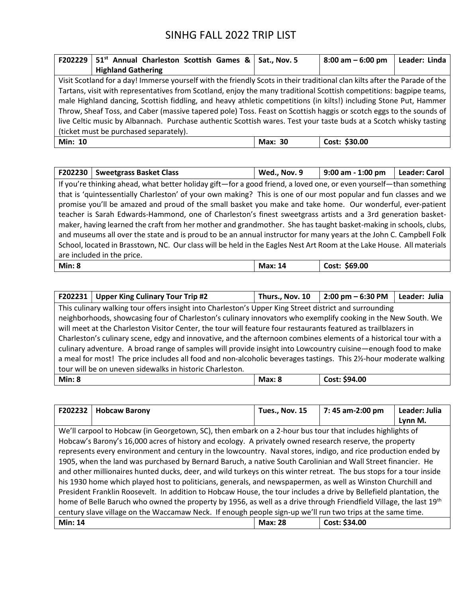| F202229                                                                                                            | 51 <sup>st</sup> Annual Charleston Scottish Games & |  |  |  |  | Sat., Nov. 5   | $8:00$ am $-6:00$ pm                                                                                                       | Leader: Linda |
|--------------------------------------------------------------------------------------------------------------------|-----------------------------------------------------|--|--|--|--|----------------|----------------------------------------------------------------------------------------------------------------------------|---------------|
|                                                                                                                    | <b>Highland Gathering</b>                           |  |  |  |  |                |                                                                                                                            |               |
|                                                                                                                    |                                                     |  |  |  |  |                | Visit Scotland for a day! Immerse yourself with the friendly Scots in their traditional clan kilts after the Parade of the |               |
|                                                                                                                    |                                                     |  |  |  |  |                | Tartans, visit with representatives from Scotland, enjoy the many traditional Scottish competitions: bagpipe teams,        |               |
| male Highland dancing, Scottish fiddling, and heavy athletic competitions (in kilts!) including Stone Put, Hammer  |                                                     |  |  |  |  |                |                                                                                                                            |               |
| Throw, Sheaf Toss, and Caber (massive tapered pole) Toss. Feast on Scottish haggis or scotch eggs to the sounds of |                                                     |  |  |  |  |                |                                                                                                                            |               |
| live Celtic music by Albannach. Purchase authentic Scottish wares. Test your taste buds at a Scotch whisky tasting |                                                     |  |  |  |  |                |                                                                                                                            |               |
| (ticket must be purchased separately).                                                                             |                                                     |  |  |  |  |                |                                                                                                                            |               |
| <b>Min: 10</b>                                                                                                     |                                                     |  |  |  |  | <b>Max: 30</b> | Cost: \$30.00                                                                                                              |               |

| F202230                                                                                                               | <b>Sweetgrass Basket Class</b>                                                                                     | Wed., Nov. 9   | 9:00 am - 1:00 pm | <b>Leader: Carol</b> |
|-----------------------------------------------------------------------------------------------------------------------|--------------------------------------------------------------------------------------------------------------------|----------------|-------------------|----------------------|
|                                                                                                                       | If you're thinking ahead, what better holiday gift—for a good friend, a loved one, or even yourself—than something |                |                   |                      |
|                                                                                                                       | that is 'quintessentially Charleston' of your own making? This is one of our most popular and fun classes and we   |                |                   |                      |
|                                                                                                                       | promise you'll be amazed and proud of the small basket you make and take home. Our wonderful, ever-patient         |                |                   |                      |
|                                                                                                                       | teacher is Sarah Edwards-Hammond, one of Charleston's finest sweetgrass artists and a 3rd generation basket-       |                |                   |                      |
| maker, having learned the craft from her mother and grandmother. She has taught basket-making in schools, clubs,      |                                                                                                                    |                |                   |                      |
| and museums all over the state and is proud to be an annual instructor for many years at the John C. Campbell Folk    |                                                                                                                    |                |                   |                      |
| School, located in Brasstown, NC. Our class will be held in the Eagles Nest Art Room at the Lake House. All materials |                                                                                                                    |                |                   |                      |
| are included in the price.                                                                                            |                                                                                                                    |                |                   |                      |
| Min: 8                                                                                                                |                                                                                                                    | <b>Max: 14</b> | Cost: \$69.00     |                      |

| F202231                                                                                                            | <b>Upper King Culinary Tour Trip #2</b>                                                                        | Thurs., Nov. 10 | $2:00 \text{ pm} - 6:30 \text{ PM}$ | Leader: Julia |
|--------------------------------------------------------------------------------------------------------------------|----------------------------------------------------------------------------------------------------------------|-----------------|-------------------------------------|---------------|
|                                                                                                                    | This culinary walking tour offers insight into Charleston's Upper King Street district and surrounding         |                 |                                     |               |
|                                                                                                                    | neighborhoods, showcasing four of Charleston's culinary innovators who exemplify cooking in the New South. We  |                 |                                     |               |
|                                                                                                                    | will meet at the Charleston Visitor Center, the tour will feature four restaurants featured as trailblazers in |                 |                                     |               |
| Charleston's culinary scene, edgy and innovative, and the afternoon combines elements of a historical tour with a  |                                                                                                                |                 |                                     |               |
| culinary adventure. A broad range of samples will provide insight into Lowcountry cuisine—enough food to make      |                                                                                                                |                 |                                     |               |
| a meal for most! The price includes all food and non-alcoholic beverages tastings. This 21/2-hour moderate walking |                                                                                                                |                 |                                     |               |
| tour will be on uneven sidewalks in historic Charleston.                                                           |                                                                                                                |                 |                                     |               |
| Min: 8                                                                                                             |                                                                                                                | Max: 8          | Cost: \$94.00                       |               |

| F202232                                                                                                             | <b>Hobcaw Barony</b>                                                                                           | Tues., Nov. 15 | 7:45 am-2:00 pm | Leader: Julia |
|---------------------------------------------------------------------------------------------------------------------|----------------------------------------------------------------------------------------------------------------|----------------|-----------------|---------------|
|                                                                                                                     |                                                                                                                |                |                 | Lynn M.       |
|                                                                                                                     | We'll carpool to Hobcaw (in Georgetown, SC), then embark on a 2-hour bus tour that includes highlights of      |                |                 |               |
|                                                                                                                     | Hobcaw's Barony's 16,000 acres of history and ecology. A privately owned research reserve, the property        |                |                 |               |
|                                                                                                                     | represents every environment and century in the lowcountry. Naval stores, indigo, and rice production ended by |                |                 |               |
|                                                                                                                     | 1905, when the land was purchased by Bernard Baruch, a native South Carolinian and Wall Street financier. He   |                |                 |               |
| and other millionaires hunted ducks, deer, and wild turkeys on this winter retreat. The bus stops for a tour inside |                                                                                                                |                |                 |               |
| his 1930 home which played host to politicians, generals, and newspapermen, as well as Winston Churchill and        |                                                                                                                |                |                 |               |
| President Franklin Roosevelt. In addition to Hobcaw House, the tour includes a drive by Bellefield plantation, the  |                                                                                                                |                |                 |               |
| home of Belle Baruch who owned the property by 1956, as well as a drive through Friendfield Village, the last 19th  |                                                                                                                |                |                 |               |
| century slave village on the Waccamaw Neck. If enough people sign-up we'll run two trips at the same time.          |                                                                                                                |                |                 |               |
| <b>Min: 14</b>                                                                                                      |                                                                                                                | <b>Max: 28</b> | Cost: \$34.00   |               |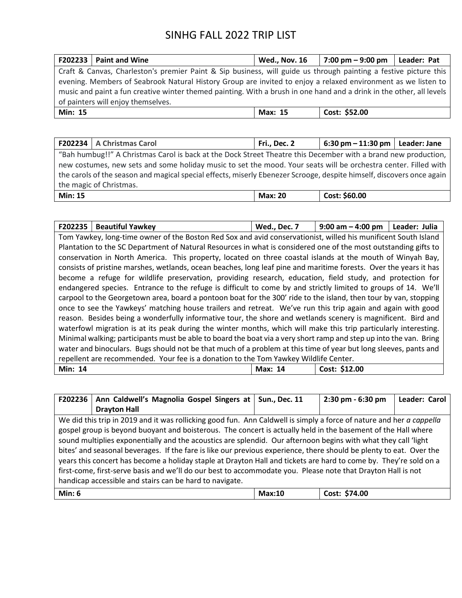| $F202233$ Paint and Wine                                                                                             |                                                                                                               | <b>Wed., Nov. 16</b> | 7:00 pm – 9:00 pm | Leader: Pat |
|----------------------------------------------------------------------------------------------------------------------|---------------------------------------------------------------------------------------------------------------|----------------------|-------------------|-------------|
| Craft & Canvas, Charleston's premier Paint & Sip business, will guide us through painting a festive picture this     |                                                                                                               |                      |                   |             |
|                                                                                                                      | evening. Members of Seabrook Natural History Group are invited to enjoy a relaxed environment as we listen to |                      |                   |             |
| music and paint a fun creative winter themed painting. With a brush in one hand and a drink in the other, all levels |                                                                                                               |                      |                   |             |
| of painters will enjoy themselves.                                                                                   |                                                                                                               |                      |                   |             |
| <b>Min: 15</b>                                                                                                       |                                                                                                               | Max: 15              | Cost: \$52.00     |             |

|                                                                                                                       | F202234   A Christmas Carol | Fri., Dec. 2   | 6:30 pm $-$ 11:30 pm   Leader: Jane |  |  |
|-----------------------------------------------------------------------------------------------------------------------|-----------------------------|----------------|-------------------------------------|--|--|
| "Bah humbug!!" A Christmas Carol is back at the Dock Street Theatre this December with a brand new production,        |                             |                |                                     |  |  |
| new costumes, new sets and some holiday music to set the mood. Your seats will be orchestra center. Filled with       |                             |                |                                     |  |  |
| the carols of the season and magical special effects, miserly Ebenezer Scrooge, despite himself, discovers once again |                             |                |                                     |  |  |
| the magic of Christmas.                                                                                               |                             |                |                                     |  |  |
| <b>Min: 15</b>                                                                                                        |                             | <b>Max: 20</b> | Cost: \$60.00                       |  |  |

| F202235                                                                                                            | <b>Beautiful Yawkey</b>                                                                                           | Wed., Dec. 7 | 9:00 am $-$ 4:00 pm | Leader: Julia |  |
|--------------------------------------------------------------------------------------------------------------------|-------------------------------------------------------------------------------------------------------------------|--------------|---------------------|---------------|--|
|                                                                                                                    | Tom Yawkey, long-time owner of the Boston Red Sox and avid conservationist, willed his munificent South Island    |              |                     |               |  |
|                                                                                                                    | Plantation to the SC Department of Natural Resources in what is considered one of the most outstanding gifts to   |              |                     |               |  |
|                                                                                                                    | conservation in North America. This property, located on three coastal islands at the mouth of Winyah Bay,        |              |                     |               |  |
|                                                                                                                    | consists of pristine marshes, wetlands, ocean beaches, long leaf pine and maritime forests. Over the years it has |              |                     |               |  |
|                                                                                                                    | become a refuge for wildlife preservation, providing research, education, field study, and protection for         |              |                     |               |  |
|                                                                                                                    | endangered species. Entrance to the refuge is difficult to come by and strictly limited to groups of 14. We'll    |              |                     |               |  |
|                                                                                                                    | carpool to the Georgetown area, board a pontoon boat for the 300' ride to the island, then tour by van, stopping  |              |                     |               |  |
|                                                                                                                    | once to see the Yawkeys' matching house trailers and retreat. We've run this trip again and again with good       |              |                     |               |  |
|                                                                                                                    | reason. Besides being a wonderfully informative tour, the shore and wetlands scenery is magnificent. Bird and     |              |                     |               |  |
|                                                                                                                    | waterfowl migration is at its peak during the winter months, which will make this trip particularly interesting.  |              |                     |               |  |
| Minimal walking; participants must be able to board the boat via a very short ramp and step up into the van. Bring |                                                                                                                   |              |                     |               |  |
| water and binoculars. Bugs should not be that much of a problem at this time of year but long sleeves, pants and   |                                                                                                                   |              |                     |               |  |
| repellent are recommended. Your fee is a donation to the Tom Yawkey Wildlife Center.                               |                                                                                                                   |              |                     |               |  |
| <b>Min: 14</b>                                                                                                     |                                                                                                                   | Max: 14      | Cost: \$12.00       |               |  |

| F202236                                                                                                             | Ann Caldwell's Magnolia Gospel Singers at                                                                            | <b>Sun., Dec. 11</b> | 2:30 pm - 6:30 pm | Leader: Carol |  |
|---------------------------------------------------------------------------------------------------------------------|----------------------------------------------------------------------------------------------------------------------|----------------------|-------------------|---------------|--|
|                                                                                                                     | <b>Drayton Hall</b>                                                                                                  |                      |                   |               |  |
|                                                                                                                     | We did this trip in 2019 and it was rollicking good fun. Ann Caldwell is simply a force of nature and her a cappella |                      |                   |               |  |
|                                                                                                                     | gospel group is beyond buoyant and boisterous. The concert is actually held in the basement of the Hall where        |                      |                   |               |  |
|                                                                                                                     | sound multiplies exponentially and the acoustics are splendid. Our afternoon begins with what they call 'light       |                      |                   |               |  |
| bites' and seasonal beverages. If the fare is like our previous experience, there should be plenty to eat. Over the |                                                                                                                      |                      |                   |               |  |
| years this concert has become a holiday staple at Drayton Hall and tickets are hard to come by. They're sold on a   |                                                                                                                      |                      |                   |               |  |
| first-come, first-serve basis and we'll do our best to accommodate you. Please note that Drayton Hall is not        |                                                                                                                      |                      |                   |               |  |
| handicap accessible and stairs can be hard to navigate.                                                             |                                                                                                                      |                      |                   |               |  |
| Min: 6                                                                                                              |                                                                                                                      | Max:10               | Cost: \$74.00     |               |  |